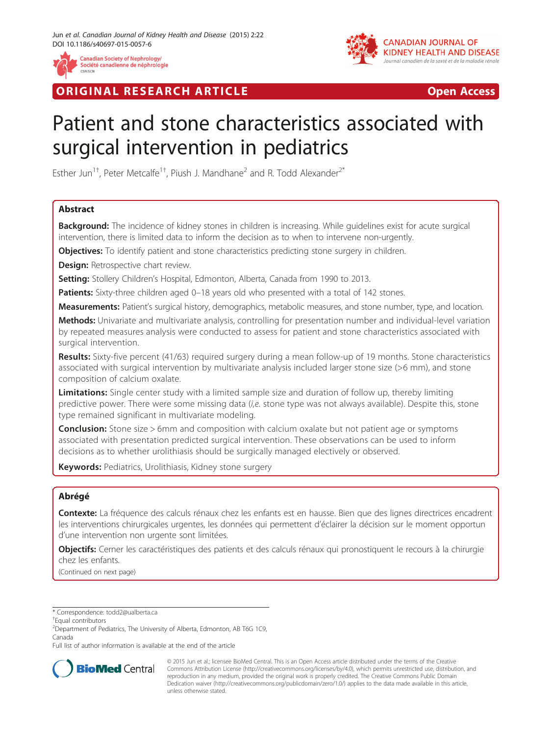

**RIGINAL RESEARCH ARTICLE CONSUMING ACCESS** 



# Patient and stone characteristics associated with surgical intervention in pediatrics

Esther Jun<sup>1†</sup>, Peter Metcalfe<sup>1†</sup>, Piush J. Mandhane<sup>2</sup> and R. Todd Alexander<sup>2\*</sup>

# Abstract

Background: The incidence of kidney stones in children is increasing. While quidelines exist for acute surgical intervention, there is limited data to inform the decision as to when to intervene non-urgently.

Objectives: To identify patient and stone characteristics predicting stone surgery in children.

**Design:** Retrospective chart review.

Setting: Stollery Children's Hospital, Edmonton, Alberta, Canada from 1990 to 2013.

Patients: Sixty-three children aged 0-18 years old who presented with a total of 142 stones.

Measurements: Patient's surgical history, demographics, metabolic measures, and stone number, type, and location.

Methods: Univariate and multivariate analysis, controlling for presentation number and individual-level variation by repeated measures analysis were conducted to assess for patient and stone characteristics associated with surgical intervention.

Results: Sixty-five percent (41/63) required surgery during a mean follow-up of 19 months. Stone characteristics associated with surgical intervention by multivariate analysis included larger stone size (>6 mm), and stone composition of calcium oxalate.

Limitations: Single center study with a limited sample size and duration of follow up, thereby limiting predictive power. There were some missing data (i,e. stone type was not always available). Despite this, stone type remained significant in multivariate modeling.

**Conclusion:** Stone size > 6mm and composition with calcium oxalate but not patient age or symptoms associated with presentation predicted surgical intervention. These observations can be used to inform decisions as to whether urolithiasis should be surgically managed electively or observed.

Keywords: Pediatrics, Urolithiasis, Kidney stone surgery

# Abrégé

Contexte: La fréquence des calculs rénaux chez les enfants est en hausse. Bien que des lignes directrices encadrent les interventions chirurgicales urgentes, les données qui permettent d'éclairer la décision sur le moment opportun d'une intervention non urgente sont limitées.

Objectifs: Cerner les caractéristiques des patients et des calculs rénaux qui pronostiquent le recours à la chirurgie chez les enfants.

(Continued on next page)

Full list of author information is available at the end of the article



© 2015 Jun et al.; licensee BioMed Central. This is an Open Access article distributed under the terms of the Creative Commons Attribution License [\(http://creativecommons.org/licenses/by/4.0\)](http://creativecommons.org/licenses/by/4.0), which permits unrestricted use, distribution, and reproduction in any medium, provided the original work is properly credited. The Creative Commons Public Domain Dedication waiver [\(http://creativecommons.org/publicdomain/zero/1.0/](http://creativecommons.org/publicdomain/zero/1.0/)) applies to the data made available in this article, unless otherwise stated.

<sup>\*</sup> Correspondence: [todd2@ualberta.ca](mailto:todd2@ualberta.ca) †

<sup>&</sup>lt;sup>+</sup>Equal contributors

<sup>2</sup> Department of Pediatrics, The University of Alberta, Edmonton, AB T6G 1C9, Canada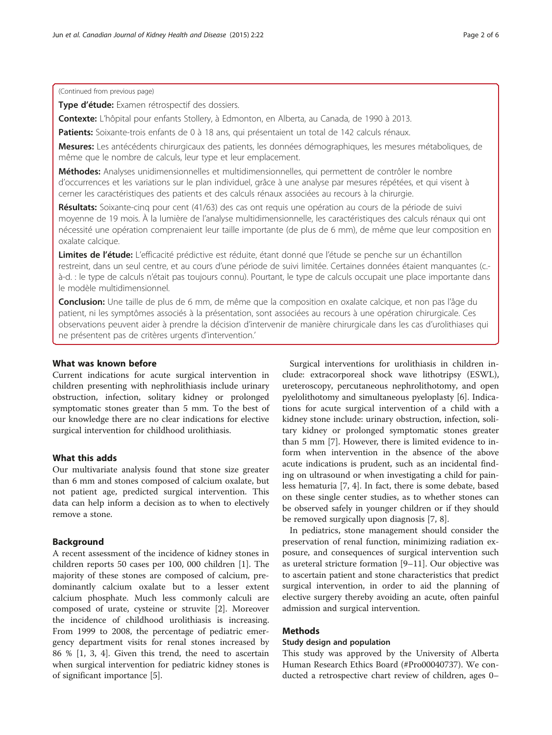(Continued from previous page)

Type d'étude: Examen rétrospectif des dossiers.

Contexte: L'hôpital pour enfants Stollery, à Edmonton, en Alberta, au Canada, de 1990 à 2013.

Patients: Soixante-trois enfants de 0 à 18 ans, qui présentaient un total de 142 calculs rénaux.

Mesures: Les antécédents chirurgicaux des patients, les données démographiques, les mesures métaboliques, de même que le nombre de calculs, leur type et leur emplacement.

Méthodes: Analyses unidimensionnelles et multidimensionnelles, qui permettent de contrôler le nombre d'occurrences et les variations sur le plan individuel, grâce à une analyse par mesures répétées, et qui visent à cerner les caractéristiques des patients et des calculs rénaux associées au recours à la chirurgie.

Résultats: Soixante-cinq pour cent (41/63) des cas ont requis une opération au cours de la période de suivi moyenne de 19 mois. À la lumière de l'analyse multidimensionnelle, les caractéristiques des calculs rénaux qui ont nécessité une opération comprenaient leur taille importante (de plus de 6 mm), de même que leur composition en oxalate calcique.

Limites de l'étude: L'efficacité prédictive est réduite, étant donné que l'étude se penche sur un échantillon restreint, dans un seul centre, et au cours d'une période de suivi limitée. Certaines données étaient manquantes (c. à-d. : le type de calculs n'était pas toujours connu). Pourtant, le type de calculs occupait une place importante dans le modèle multidimensionnel.

Conclusion: Une taille de plus de 6 mm, de même que la composition en oxalate calcique, et non pas l'âge du patient, ni les symptômes associés à la présentation, sont associées au recours à une opération chirurgicale. Ces observations peuvent aider à prendre la décision d'intervenir de manière chirurgicale dans les cas d'urolithiases qui ne présentent pas de critères urgents d'intervention.'

# What was known before

Current indications for acute surgical intervention in children presenting with nephrolithiasis include urinary obstruction, infection, solitary kidney or prolonged symptomatic stones greater than 5 mm. To the best of our knowledge there are no clear indications for elective surgical intervention for childhood urolithiasis.

# What this adds

Our multivariate analysis found that stone size greater than 6 mm and stones composed of calcium oxalate, but not patient age, predicted surgical intervention. This data can help inform a decision as to when to electively remove a stone.

# Background

A recent assessment of the incidence of kidney stones in children reports 50 cases per 100, 000 children [[1](#page-5-0)]. The majority of these stones are composed of calcium, predominantly calcium oxalate but to a lesser extent calcium phosphate. Much less commonly calculi are composed of urate, cysteine or struvite [\[2](#page-5-0)]. Moreover the incidence of childhood urolithiasis is increasing. From 1999 to 2008, the percentage of pediatric emergency department visits for renal stones increased by 86 % [[1](#page-5-0), [3](#page-5-0), [4\]](#page-5-0). Given this trend, the need to ascertain when surgical intervention for pediatric kidney stones is of significant importance [\[5\]](#page-5-0).

Surgical interventions for urolithiasis in children include: extracorporeal shock wave lithotripsy (ESWL), ureteroscopy, percutaneous nephrolithotomy, and open pyelolithotomy and simultaneous pyeloplasty [\[6](#page-5-0)]. Indications for acute surgical intervention of a child with a kidney stone include: urinary obstruction, infection, solitary kidney or prolonged symptomatic stones greater than 5 mm [[7\]](#page-5-0). However, there is limited evidence to inform when intervention in the absence of the above acute indications is prudent, such as an incidental finding on ultrasound or when investigating a child for painless hematuria [\[7, 4](#page-5-0)]. In fact, there is some debate, based on these single center studies, as to whether stones can be observed safely in younger children or if they should be removed surgically upon diagnosis [[7](#page-5-0), [8](#page-5-0)].

In pediatrics, stone management should consider the preservation of renal function, minimizing radiation exposure, and consequences of surgical intervention such as ureteral stricture formation [\[9](#page-5-0)–[11\]](#page-5-0). Our objective was to ascertain patient and stone characteristics that predict surgical intervention, in order to aid the planning of elective surgery thereby avoiding an acute, often painful admission and surgical intervention.

# Methods

#### Study design and population

This study was approved by the University of Alberta Human Research Ethics Board (#Pro00040737). We conducted a retrospective chart review of children, ages 0–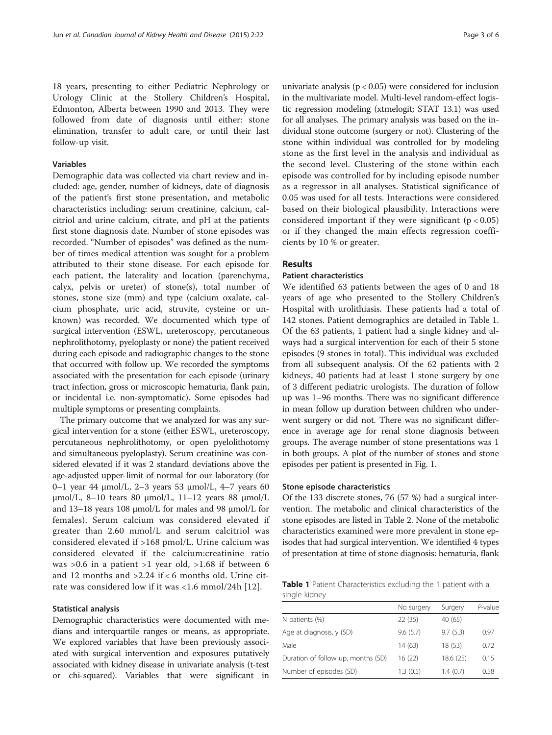18 years, presenting to either Pediatric Nephrology or Urology Clinic at the Stollery Children's Hospital, Edmonton, Alberta between 1990 and 2013. They were followed from date of diagnosis until either: stone elimination, transfer to adult care, or until their last follow-up visit.

# Variables

Demographic data was collected via chart review and included: age, gender, number of kidneys, date of diagnosis of the patient's first stone presentation, and metabolic characteristics including: serum creatinine, calcium, calcitriol and urine calcium, citrate, and pH at the patients first stone diagnosis date. Number of stone episodes was recorded. "Number of episodes" was defined as the number of times medical attention was sought for a problem attributed to their stone disease. For each episode for each patient, the laterality and location (parenchyma, calyx, pelvis or ureter) of stone(s), total number of stones, stone size (mm) and type (calcium oxalate, calcium phosphate, uric acid, struvite, cysteine or unknown) was recorded. We documented which type of surgical intervention (ESWL, ureteroscopy, percutaneous nephrolithotomy, pyeloplasty or none) the patient received during each episode and radiographic changes to the stone that occurred with follow up. We recorded the symptoms associated with the presentation for each episode (urinary tract infection, gross or microscopic hematuria, flank pain, or incidental i.e. non-symptomatic). Some episodes had multiple symptoms or presenting complaints.

The primary outcome that we analyzed for was any surgical intervention for a stone (either ESWL, ureteroscopy, percutaneous nephrolithotomy, or open pyelolithotomy and simultaneous pyeloplasty). Serum creatinine was considered elevated if it was 2 standard deviations above the age-adjusted upper-limit of normal for our laboratory (for  $0-1$  year 44 μmol/L, 2–3 years 53 μmol/L, 4–7 years 60 μmol/L, 8–10 tears 80 μmol/L, 11–12 years 88 μmol/L and 13–18 years 108 μmol/L for males and 98 μmol/L for females). Serum calcium was considered elevated if greater than 2.60 mmol/L and serum calcitriol was considered elevated if >168 pmol/L. Urine calcium was considered elevated if the calcium:creatinine ratio was >0.6 in a patient >1 year old, >1.68 if between 6 and 12 months and >2.24 if < 6 months old. Urine citrate was considered low if it was <1.6 mmol/24h [[12](#page-5-0)].

#### Statistical analysis

Demographic characteristics were documented with medians and interquartile ranges or means, as appropriate. We explored variables that have been previously associated with surgical intervention and exposures putatively associated with kidney disease in univariate analysis (t-test or chi-squared). Variables that were significant in

univariate analysis ( $p < 0.05$ ) were considered for inclusion in the multivariate model. Multi-level random-effect logistic regression modeling (xtmelogit; STAT 13.1) was used for all analyses. The primary analysis was based on the individual stone outcome (surgery or not). Clustering of the stone within individual was controlled for by modeling stone as the first level in the analysis and individual as the second level. Clustering of the stone within each episode was controlled for by including episode number as a regressor in all analyses. Statistical significance of 0.05 was used for all tests. Interactions were considered based on their biological plausibility. Interactions were considered important if they were significant ( $p < 0.05$ ) or if they changed the main effects regression coefficients by 10 % or greater.

# Results

# Patient characteristics

We identified 63 patients between the ages of 0 and 18 years of age who presented to the Stollery Children's Hospital with urolithiasis. These patients had a total of 142 stones. Patient demographics are detailed in Table 1. Of the 63 patients, 1 patient had a single kidney and always had a surgical intervention for each of their 5 stone episodes (9 stones in total). This individual was excluded from all subsequent analysis. Of the 62 patients with 2 kidneys, 40 patients had at least 1 stone surgery by one of 3 different pediatric urologists. The duration of follow up was 1–96 months. There was no significant difference in mean follow up duration between children who underwent surgery or did not. There was no significant difference in average age for renal stone diagnosis between groups. The average number of stone presentations was 1 in both groups. A plot of the number of stones and stone episodes per patient is presented in Fig. [1](#page-3-0).

#### Stone episode characteristics

Of the 133 discrete stones, 76 (57 %) had a surgical intervention. The metabolic and clinical characteristics of the stone episodes are listed in Table [2.](#page-3-0) None of the metabolic characteristics examined were more prevalent in stone episodes that had surgical intervention. We identified 4 types of presentation at time of stone diagnosis: hematuria, flank

Table 1 Patient Characteristics excluding the 1 patient with a single kidney

|                                    | No surgery | Surgery   | P-value |
|------------------------------------|------------|-----------|---------|
| N patients (%)                     | 22 (35)    | 40 (65)   |         |
| Age at diagnosis, y (SD)           | 9.6(5.7)   | 9.7(5.3)  | 0.97    |
| Male                               | 14(63)     | 18 (53)   | 0.72    |
| Duration of follow up, months (SD) | 16(22)     | 18.6 (25) | 0.15    |
| Number of episodes (SD)            | 1.3(0.5)   | 1.4(0.7)  | 0.58    |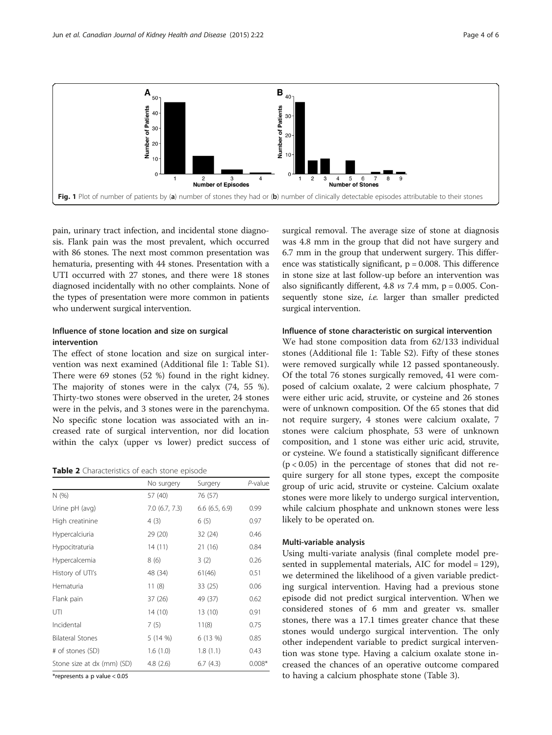<span id="page-3-0"></span>

pain, urinary tract infection, and incidental stone diagnosis. Flank pain was the most prevalent, which occurred with 86 stones. The next most common presentation was hematuria, presenting with 44 stones. Presentation with a UTI occurred with 27 stones, and there were 18 stones diagnosed incidentally with no other complaints. None of the types of presentation were more common in patients who underwent surgical intervention.

# Influence of stone location and size on surgical intervention

The effect of stone location and size on surgical intervention was next examined (Additional file [1](#page-5-0): Table S1). There were 69 stones (52 %) found in the right kidney. The majority of stones were in the calyx (74, 55 %). Thirty-two stones were observed in the ureter, 24 stones were in the pelvis, and 3 stones were in the parenchyma. No specific stone location was associated with an increased rate of surgical intervention, nor did location within the calyx (upper vs lower) predict success of

Table 2 Characteristics of each stone episode

|                            | No surgery    | Surgery       | P-value  |
|----------------------------|---------------|---------------|----------|
| N(%)                       | 57 (40)       | 76 (57)       |          |
| Urine pH (avg)             | 7.0(6.7, 7.3) | 6.6(6.5, 6.9) | 0.99     |
| High creatinine            | 4(3)          | 6(5)          | 0.97     |
| Hypercalciuria             | 29 (20)       | 32(24)        | 0.46     |
| Hypocitraturia             | 14(11)        | 21 (16)       | 0.84     |
| Hypercalcemia              | 8(6)          | 3(2)          | 0.26     |
| History of UTI's           | 48 (34)       | 61(46)        | 0.51     |
| Hematuria                  | 11(8)         | 33(25)        | 0.06     |
| Flank pain                 | 37(26)        | 49 (37)       | 0.62     |
| UTI                        | 14(10)        | 13 (10)       | 0.91     |
| Incidental                 | 7(5)          | 11(8)         | 0.75     |
| <b>Bilateral Stones</b>    | 5(14%)        | 6 (13 %)      | 0.85     |
| # of stones (SD)           | 1.6(1.0)      | 1.8(1.1)      | 0.43     |
| Stone size at dx (mm) (SD) | 4.8(2.6)      | 6.7(4.3)      | $0.008*$ |

\*represents a p value < 0.05

surgical removal. The average size of stone at diagnosis was 4.8 mm in the group that did not have surgery and 6.7 mm in the group that underwent surgery. This difference was statistically significant,  $p = 0.008$ . This difference in stone size at last follow-up before an intervention was also significantly different,  $4.8$  vs  $7.4$  mm,  $p = 0.005$ . Consequently stone size, i.e. larger than smaller predicted surgical intervention.

#### Influence of stone characteristic on surgical intervention

We had stone composition data from 62/133 individual stones (Additional file [1:](#page-5-0) Table S2). Fifty of these stones were removed surgically while 12 passed spontaneously. Of the total 76 stones surgically removed, 41 were composed of calcium oxalate, 2 were calcium phosphate, 7 were either uric acid, struvite, or cysteine and 26 stones were of unknown composition. Of the 65 stones that did not require surgery, 4 stones were calcium oxalate, 7 stones were calcium phosphate, 53 were of unknown composition, and 1 stone was either uric acid, struvite, or cysteine. We found a statistically significant difference  $(p < 0.05)$  in the percentage of stones that did not require surgery for all stone types, except the composite group of uric acid, struvite or cysteine. Calcium oxalate stones were more likely to undergo surgical intervention, while calcium phosphate and unknown stones were less likely to be operated on.

#### Multi-variable analysis

Using multi-variate analysis (final complete model presented in supplemental materials, AIC for model = 129), we determined the likelihood of a given variable predicting surgical intervention. Having had a previous stone episode did not predict surgical intervention. When we considered stones of 6 mm and greater vs. smaller stones, there was a 17.1 times greater chance that these stones would undergo surgical intervention. The only other independent variable to predict surgical intervention was stone type. Having a calcium oxalate stone increased the chances of an operative outcome compared to having a calcium phosphate stone (Table [3\)](#page-4-0).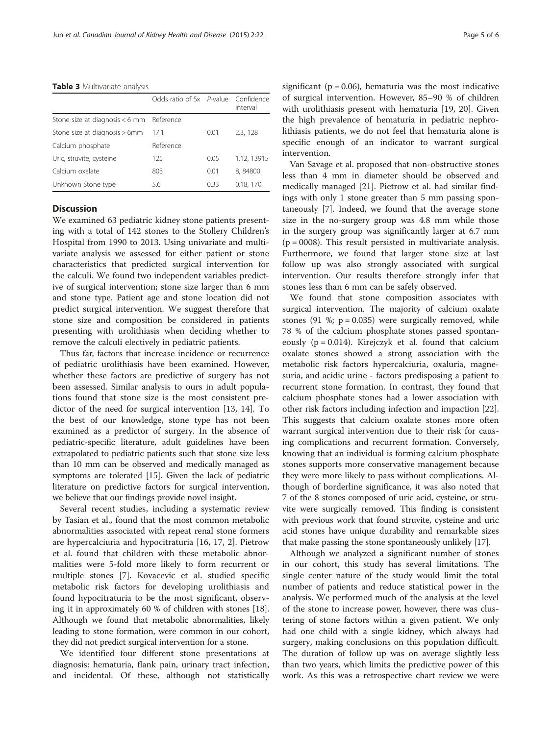#### <span id="page-4-0"></span>Table 3 Multivariate analysis

|                                            | Odds ratio of Sx P-value Confidence |                 | interval    |
|--------------------------------------------|-------------------------------------|-----------------|-------------|
| Stone size at diagnosis $< 6$ mm Reference |                                     |                 |             |
| Stone size at diagnosis > 6mm              | 171                                 | 0.01            | 2.3, 128    |
| Calcium phosphate                          | Reference                           |                 |             |
| Uric, struvite, cysteine                   | 125                                 | 0.05            | 1.12, 13915 |
| Calcium oxalate                            | 803                                 | 0 <sub>01</sub> | 8,84800     |
| Unknown Stone type                         | 5.6                                 | 0.33            | 0.18, 170   |

# **Discussion**

We examined 63 pediatric kidney stone patients presenting with a total of 142 stones to the Stollery Children's Hospital from 1990 to 2013. Using univariate and multivariate analysis we assessed for either patient or stone characteristics that predicted surgical intervention for the calculi. We found two independent variables predictive of surgical intervention; stone size larger than 6 mm and stone type. Patient age and stone location did not predict surgical intervention. We suggest therefore that stone size and composition be considered in patients presenting with urolithiasis when deciding whether to remove the calculi electively in pediatric patients.

Thus far, factors that increase incidence or recurrence of pediatric urolithiasis have been examined. However, whether these factors are predictive of surgery has not been assessed. Similar analysis to ours in adult populations found that stone size is the most consistent predictor of the need for surgical intervention [\[13, 14\]](#page-5-0). To the best of our knowledge, stone type has not been examined as a predictor of surgery. In the absence of pediatric-specific literature, adult guidelines have been extrapolated to pediatric patients such that stone size less than 10 mm can be observed and medically managed as symptoms are tolerated [[15](#page-5-0)]. Given the lack of pediatric literature on predictive factors for surgical intervention, we believe that our findings provide novel insight.

Several recent studies, including a systematic review by Tasian et al., found that the most common metabolic abnormalities associated with repeat renal stone formers are hypercalciuria and hypocitraturia [\[16, 17](#page-5-0), [2\]](#page-5-0). Pietrow et al. found that children with these metabolic abnormalities were 5-fold more likely to form recurrent or multiple stones [[7\]](#page-5-0). Kovacevic et al. studied specific metabolic risk factors for developing urolithiasis and found hypocitraturia to be the most significant, observing it in approximately 60 % of children with stones [[18](#page-5-0)]. Although we found that metabolic abnormalities, likely leading to stone formation, were common in our cohort, they did not predict surgical intervention for a stone.

We identified four different stone presentations at diagnosis: hematuria, flank pain, urinary tract infection, and incidental. Of these, although not statistically significant ( $p = 0.06$ ), hematuria was the most indicative of surgical intervention. However, 85–90 % of children with urolithiasis present with hematuria [[19](#page-5-0), [20](#page-5-0)]. Given the high prevalence of hematuria in pediatric nephrolithiasis patients, we do not feel that hematuria alone is specific enough of an indicator to warrant surgical intervention.

Van Savage et al. proposed that non-obstructive stones less than 4 mm in diameter should be observed and medically managed [[21\]](#page-5-0). Pietrow et al. had similar findings with only 1 stone greater than 5 mm passing spontaneously [[7\]](#page-5-0). Indeed, we found that the average stone size in the no-surgery group was 4.8 mm while those in the surgery group was significantly larger at 6.7 mm  $(p = 0008)$ . This result persisted in multivariate analysis. Furthermore, we found that larger stone size at last follow up was also strongly associated with surgical intervention. Our results therefore strongly infer that stones less than 6 mm can be safely observed.

We found that stone composition associates with surgical intervention. The majority of calcium oxalate stones  $(91 \text{ %}; p = 0.035)$  were surgically removed, while 78 % of the calcium phosphate stones passed spontaneously ( $p = 0.014$ ). Kirejczyk et al. found that calcium oxalate stones showed a strong association with the metabolic risk factors hypercalciuria, oxaluria, magnesuria, and acidic urine - factors predisposing a patient to recurrent stone formation. In contrast, they found that calcium phosphate stones had a lower association with other risk factors including infection and impaction [\[22](#page-5-0)]. This suggests that calcium oxalate stones more often warrant surgical intervention due to their risk for causing complications and recurrent formation. Conversely, knowing that an individual is forming calcium phosphate stones supports more conservative management because they were more likely to pass without complications. Although of borderline significance, it was also noted that 7 of the 8 stones composed of uric acid, cysteine, or struvite were surgically removed. This finding is consistent with previous work that found struvite, cysteine and uric acid stones have unique durability and remarkable sizes that make passing the stone spontaneously unlikely [[17](#page-5-0)].

Although we analyzed a significant number of stones in our cohort, this study has several limitations. The single center nature of the study would limit the total number of patients and reduce statistical power in the analysis. We performed much of the analysis at the level of the stone to increase power, however, there was clustering of stone factors within a given patient. We only had one child with a single kidney, which always had surgery, making conclusions on this population difficult. The duration of follow up was on average slightly less than two years, which limits the predictive power of this work. As this was a retrospective chart review we were